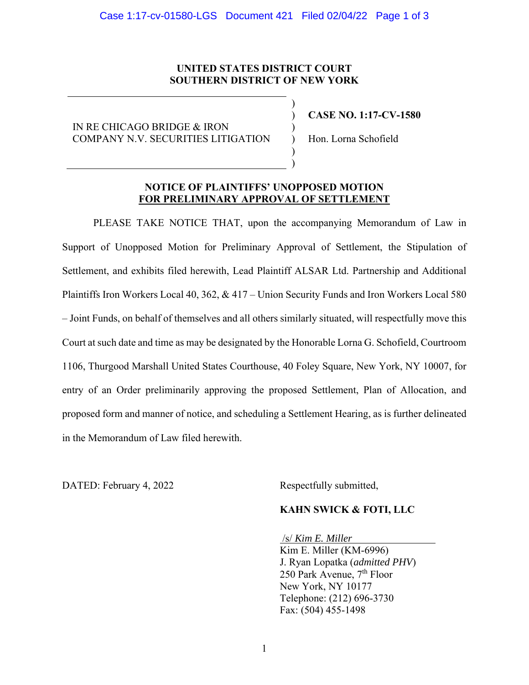## **UNITED STATES DISTRICT COURT SOUTHERN DISTRICT OF NEW YORK**

) ) ) ) ) )

IN RE CHICAGO BRIDGE & IRON COMPANY N.V. SECURITIES LITIGATION **CASE NO. 1:17-CV-1580** 

Hon. Lorna Schofield

## **NOTICE OF PLAINTIFFS' UNOPPOSED MOTION FOR PRELIMINARY APPROVAL OF SETTLEMENT**

PLEASE TAKE NOTICE THAT, upon the accompanying Memorandum of Law in Support of Unopposed Motion for Preliminary Approval of Settlement, the Stipulation of Settlement, and exhibits filed herewith, Lead Plaintiff ALSAR Ltd. Partnership and Additional Plaintiffs Iron Workers Local 40, 362, & 417 – Union Security Funds and Iron Workers Local 580 – Joint Funds, on behalf of themselves and all others similarly situated, will respectfully move this Court at such date and time as may be designated by the Honorable Lorna G. Schofield, Courtroom 1106, Thurgood Marshall United States Courthouse, 40 Foley Square, New York, NY 10007, for entry of an Order preliminarily approving the proposed Settlement, Plan of Allocation, and proposed form and manner of notice, and scheduling a Settlement Hearing, as is further delineated in the Memorandum of Law filed herewith.

DATED: February 4, 2022 Respectfully submitted,

#### **KAHN SWICK & FOTI, LLC**

/s/ *Kim E. Miller*

 Kim E. Miller (KM-6996) J. Ryan Lopatka (*admitted PHV*) 250 Park Avenue, 7<sup>th</sup> Floor New York, NY 10177 Telephone: (212) 696-3730 Fax: (504) 455-1498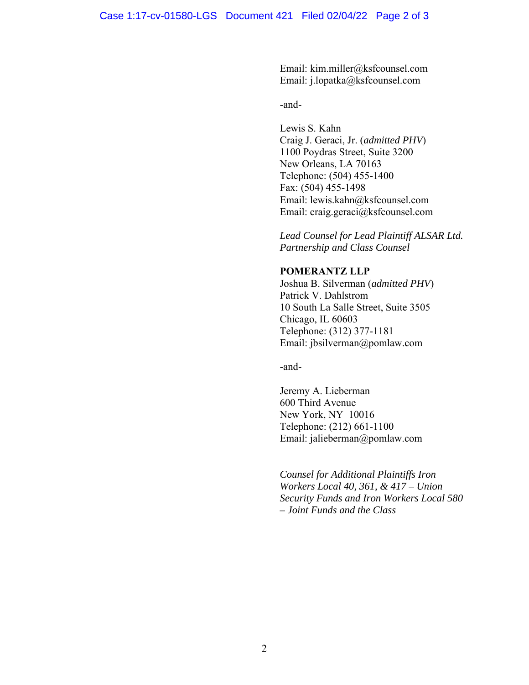Email: kim.miller@ksfcounsel.com Email: j.lopatka@ksfcounsel.com

-and-

Lewis S. Kahn Craig J. Geraci, Jr. (*admitted PHV*) 1100 Poydras Street, Suite 3200 New Orleans, LA 70163 Telephone: (504) 455-1400 Fax: (504) 455-1498 Email: lewis.kahn@ksfcounsel.com Email: craig.geraci@ksfcounsel.com

*Lead Counsel for Lead Plaintiff ALSAR Ltd. Partnership and Class Counsel* 

# **POMERANTZ LLP**

Joshua B. Silverman (*admitted PHV*) Patrick V. Dahlstrom 10 South La Salle Street, Suite 3505 Chicago, IL 60603 Telephone: (312) 377-1181 Email: jbsilverman@pomlaw.com

-and-

Jeremy A. Lieberman 600 Third Avenue New York, NY 10016 Telephone: (212) 661-1100 Email: jalieberman@pomlaw.com

*Counsel for Additional Plaintiffs Iron Workers Local 40, 361, & 417 – Union Security Funds and Iron Workers Local 580 – Joint Funds and the Class*